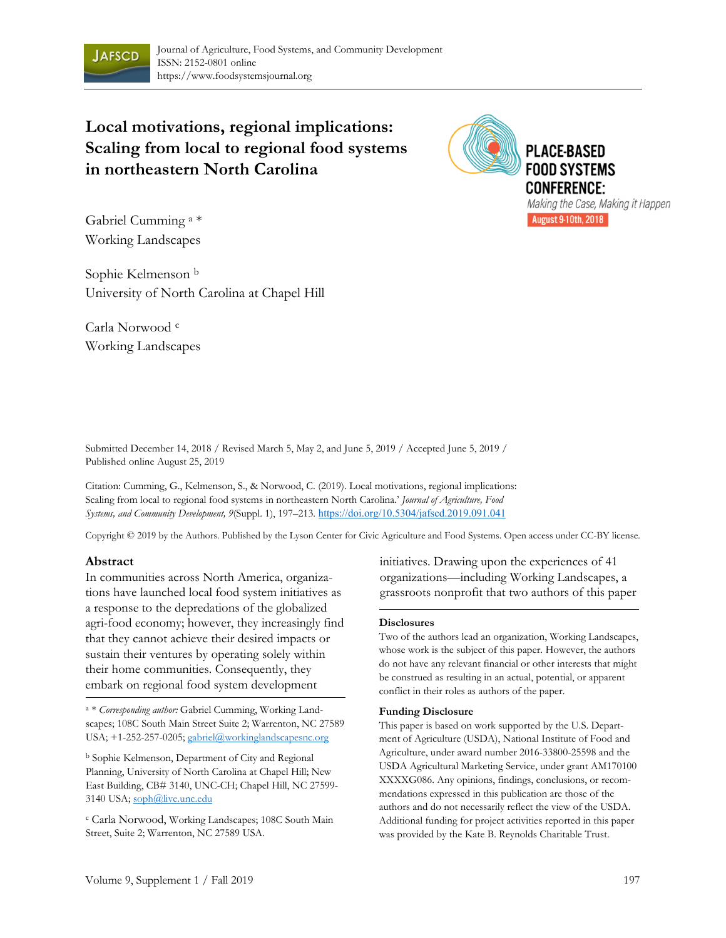

**Local motivations, regional implications: Scaling from local to regional food systems in northeastern North Carolina** 



Gabriel Cumming a \* Working Landscapes

Sophie Kelmenson b University of North Carolina at Chapel Hill

Carla Norwood c Working Landscapes

Submitted December 14, 2018 / Revised March 5, May 2, and June 5, 2019 / Accepted June 5, 2019 / Published online August 25, 2019

Citation: Cumming, G., Kelmenson, S., & Norwood, C. (2019). Local motivations, regional implications: Scaling from local to regional food systems in northeastern North Carolina.' *Journal of Agriculture, Food Systems, and Community Development, 9*(Suppl. 1), 197–213*.* https://doi.org/10.5304/jafscd.2019.091.041

Copyright © 2019 by the Authors. Published by the Lyson Center for Civic Agriculture and Food Systems. Open access under CC-BY license.

#### **Abstract**

In communities across North America, organizations have launched local food system initiatives as a response to the depredations of the globalized agri-food economy; however, they increasingly find that they cannot achieve their desired impacts or sustain their ventures by operating solely within their home communities. Consequently, they embark on regional food system development

<sup>a</sup> \* *Corresponding author:* Gabriel Cumming, Working Landscapes; 108C South Main Street Suite 2; Warrenton, NC 27589 USA; +1-252-257-0205; gabriel@workinglandscapesnc.org

b Sophie Kelmenson, Department of City and Regional Planning, University of North Carolina at Chapel Hill; New East Building, CB# 3140, UNC-CH; Chapel Hill, NC 27599- 3140 USA; soph@live.unc.edu

c Carla Norwood, Working Landscapes; 108C South Main Street, Suite 2; Warrenton, NC 27589 USA.

initiatives. Drawing upon the experiences of 41 organizations—including Working Landscapes, a grassroots nonprofit that two authors of this paper

#### **Disclosures**

Two of the authors lead an organization, Working Landscapes, whose work is the subject of this paper. However, the authors do not have any relevant financial or other interests that might be construed as resulting in an actual, potential, or apparent conflict in their roles as authors of the paper.

#### **Funding Disclosure**

This paper is based on work supported by the U.S. Department of Agriculture (USDA), National Institute of Food and Agriculture, under award number 2016-33800-25598 and the USDA Agricultural Marketing Service, under grant AM170100 XXXXG086. Any opinions, findings, conclusions, or recommendations expressed in this publication are those of the authors and do not necessarily reflect the view of the USDA. Additional funding for project activities reported in this paper was provided by the Kate B. Reynolds Charitable Trust.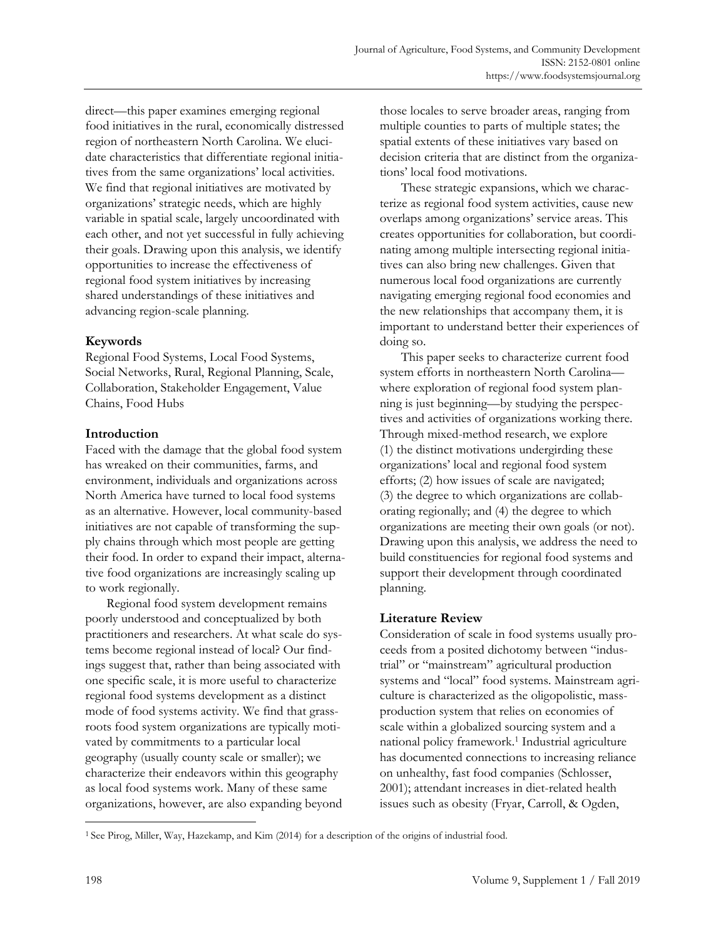direct—this paper examines emerging regional food initiatives in the rural, economically distressed region of northeastern North Carolina. We elucidate characteristics that differentiate regional initiatives from the same organizations' local activities. We find that regional initiatives are motivated by organizations' strategic needs, which are highly variable in spatial scale, largely uncoordinated with each other, and not yet successful in fully achieving their goals. Drawing upon this analysis, we identify opportunities to increase the effectiveness of regional food system initiatives by increasing shared understandings of these initiatives and advancing region-scale planning.

# **Keywords**

Regional Food Systems, Local Food Systems, Social Networks, Rural, Regional Planning, Scale, Collaboration, Stakeholder Engagement, Value Chains, Food Hubs

# **Introduction**

Faced with the damage that the global food system has wreaked on their communities, farms, and environment, individuals and organizations across North America have turned to local food systems as an alternative. However, local community-based initiatives are not capable of transforming the supply chains through which most people are getting their food. In order to expand their impact, alternative food organizations are increasingly scaling up to work regionally.

 Regional food system development remains poorly understood and conceptualized by both practitioners and researchers. At what scale do systems become regional instead of local? Our findings suggest that, rather than being associated with one specific scale, it is more useful to characterize regional food systems development as a distinct mode of food systems activity. We find that grassroots food system organizations are typically motivated by commitments to a particular local geography (usually county scale or smaller); we characterize their endeavors within this geography as local food systems work. Many of these same organizations, however, are also expanding beyond those locales to serve broader areas, ranging from multiple counties to parts of multiple states; the spatial extents of these initiatives vary based on decision criteria that are distinct from the organizations' local food motivations.

 These strategic expansions, which we characterize as regional food system activities, cause new overlaps among organizations' service areas. This creates opportunities for collaboration, but coordinating among multiple intersecting regional initiatives can also bring new challenges. Given that numerous local food organizations are currently navigating emerging regional food economies and the new relationships that accompany them, it is important to understand better their experiences of doing so.

 This paper seeks to characterize current food system efforts in northeastern North Carolina where exploration of regional food system planning is just beginning—by studying the perspectives and activities of organizations working there. Through mixed-method research, we explore (1) the distinct motivations undergirding these organizations' local and regional food system efforts; (2) how issues of scale are navigated; (3) the degree to which organizations are collaborating regionally; and (4) the degree to which organizations are meeting their own goals (or not). Drawing upon this analysis, we address the need to build constituencies for regional food systems and support their development through coordinated planning.

# **Literature Review**

Consideration of scale in food systems usually proceeds from a posited dichotomy between "industrial" or "mainstream" agricultural production systems and "local" food systems. Mainstream agriculture is characterized as the oligopolistic, massproduction system that relies on economies of scale within a globalized sourcing system and a national policy framework.<sup>1</sup> Industrial agriculture has documented connections to increasing reliance on unhealthy, fast food companies (Schlosser, 2001); attendant increases in diet-related health issues such as obesity (Fryar, Carroll, & Ogden,

<sup>1</sup> See Pirog, Miller, Way, Hazekamp, and Kim (2014) for a description of the origins of industrial food.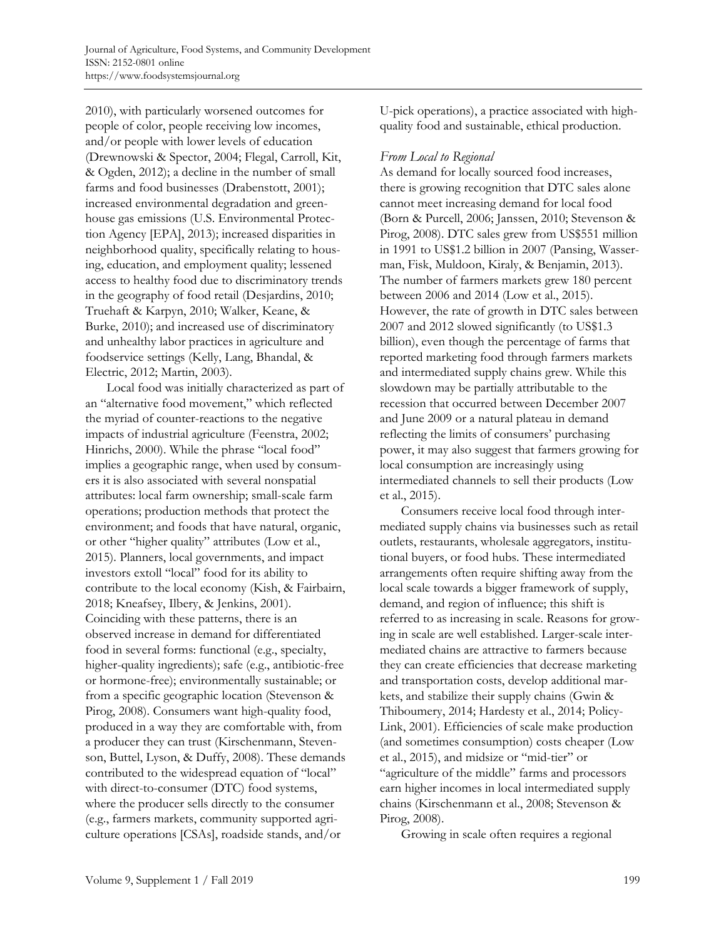2010), with particularly worsened outcomes for people of color, people receiving low incomes, and/or people with lower levels of education (Drewnowski & Spector, 2004; Flegal, Carroll, Kit, & Ogden, 2012); a decline in the number of small farms and food businesses (Drabenstott, 2001); increased environmental degradation and greenhouse gas emissions (U.S. Environmental Protection Agency [EPA], 2013); increased disparities in neighborhood quality, specifically relating to housing, education, and employment quality; lessened access to healthy food due to discriminatory trends in the geography of food retail (Desjardins, 2010; Truehaft & Karpyn, 2010; Walker, Keane, & Burke, 2010); and increased use of discriminatory and unhealthy labor practices in agriculture and foodservice settings (Kelly, Lang, Bhandal, & Electric, 2012; Martin, 2003).

 Local food was initially characterized as part of an "alternative food movement," which reflected the myriad of counter-reactions to the negative impacts of industrial agriculture (Feenstra, 2002; Hinrichs, 2000). While the phrase "local food" implies a geographic range, when used by consumers it is also associated with several nonspatial attributes: local farm ownership; small-scale farm operations; production methods that protect the environment; and foods that have natural, organic, or other "higher quality" attributes (Low et al., 2015). Planners, local governments, and impact investors extoll "local" food for its ability to contribute to the local economy (Kish, & Fairbairn, 2018; Kneafsey, Ilbery, & Jenkins, 2001). Coinciding with these patterns, there is an observed increase in demand for differentiated food in several forms: functional (e.g., specialty, higher-quality ingredients); safe (e.g., antibiotic-free or hormone-free); environmentally sustainable; or from a specific geographic location (Stevenson & Pirog, 2008). Consumers want high-quality food, produced in a way they are comfortable with, from a producer they can trust (Kirschenmann, Stevenson, Buttel, Lyson, & Duffy, 2008). These demands contributed to the widespread equation of "local" with direct-to-consumer (DTC) food systems, where the producer sells directly to the consumer (e.g., farmers markets, community supported agriculture operations [CSAs], roadside stands, and/or

U-pick operations), a practice associated with highquality food and sustainable, ethical production.

### *From Local to Regional*

As demand for locally sourced food increases, there is growing recognition that DTC sales alone cannot meet increasing demand for local food (Born & Purcell, 2006; Janssen, 2010; Stevenson & Pirog, 2008). DTC sales grew from US\$551 million in 1991 to US\$1.2 billion in 2007 (Pansing, Wasserman, Fisk, Muldoon, Kiraly, & Benjamin, 2013). The number of farmers markets grew 180 percent between 2006 and 2014 (Low et al., 2015). However, the rate of growth in DTC sales between 2007 and 2012 slowed significantly (to US\$1.3 billion), even though the percentage of farms that reported marketing food through farmers markets and intermediated supply chains grew. While this slowdown may be partially attributable to the recession that occurred between December 2007 and June 2009 or a natural plateau in demand reflecting the limits of consumers' purchasing power, it may also suggest that farmers growing for local consumption are increasingly using intermediated channels to sell their products (Low et al., 2015).

 Consumers receive local food through intermediated supply chains via businesses such as retail outlets, restaurants, wholesale aggregators, institutional buyers, or food hubs. These intermediated arrangements often require shifting away from the local scale towards a bigger framework of supply, demand, and region of influence; this shift is referred to as increasing in scale. Reasons for growing in scale are well established. Larger-scale intermediated chains are attractive to farmers because they can create efficiencies that decrease marketing and transportation costs, develop additional markets, and stabilize their supply chains (Gwin & Thiboumery, 2014; Hardesty et al., 2014; Policy-Link, 2001). Efficiencies of scale make production (and sometimes consumption) costs cheaper (Low et al., 2015), and midsize or "mid-tier" or "agriculture of the middle" farms and processors earn higher incomes in local intermediated supply chains (Kirschenmann et al., 2008; Stevenson & Pirog, 2008).

Growing in scale often requires a regional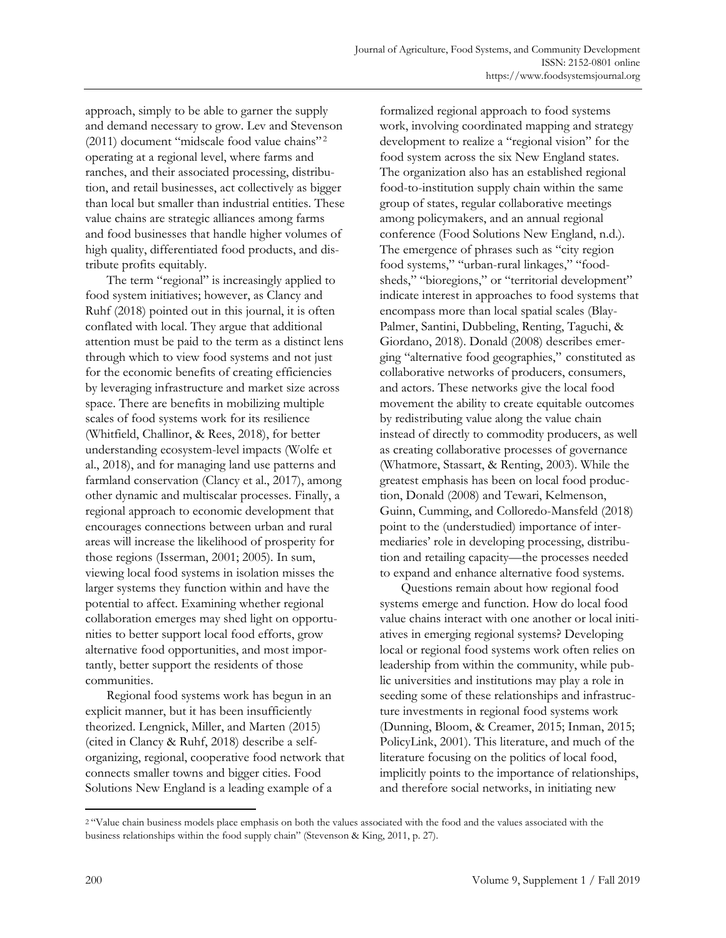approach, simply to be able to garner the supply and demand necessary to grow. Lev and Stevenson (2011) document "midscale food value chains"<sup>2</sup> operating at a regional level, where farms and ranches, and their associated processing, distribution, and retail businesses, act collectively as bigger than local but smaller than industrial entities. These value chains are strategic alliances among farms and food businesses that handle higher volumes of high quality, differentiated food products, and distribute profits equitably.

 The term "regional" is increasingly applied to food system initiatives; however, as Clancy and Ruhf (2018) pointed out in this journal, it is often conflated with local. They argue that additional attention must be paid to the term as a distinct lens through which to view food systems and not just for the economic benefits of creating efficiencies by leveraging infrastructure and market size across space. There are benefits in mobilizing multiple scales of food systems work for its resilience (Whitfield, Challinor, & Rees, 2018), for better understanding ecosystem-level impacts (Wolfe et al., 2018), and for managing land use patterns and farmland conservation (Clancy et al., 2017), among other dynamic and multiscalar processes. Finally, a regional approach to economic development that encourages connections between urban and rural areas will increase the likelihood of prosperity for those regions (Isserman, 2001; 2005). In sum, viewing local food systems in isolation misses the larger systems they function within and have the potential to affect. Examining whether regional collaboration emerges may shed light on opportunities to better support local food efforts, grow alternative food opportunities, and most importantly, better support the residents of those communities.

 Regional food systems work has begun in an explicit manner, but it has been insufficiently theorized. Lengnick, Miller, and Marten (2015) (cited in Clancy & Ruhf, 2018) describe a selforganizing, regional, cooperative food network that connects smaller towns and bigger cities. Food Solutions New England is a leading example of a

formalized regional approach to food systems work, involving coordinated mapping and strategy development to realize a "regional vision" for the food system across the six New England states. The organization also has an established regional food-to-institution supply chain within the same group of states, regular collaborative meetings among policymakers, and an annual regional conference (Food Solutions New England, n.d.). The emergence of phrases such as "city region food systems," "urban-rural linkages," "foodsheds," "bioregions," or "territorial development" indicate interest in approaches to food systems that encompass more than local spatial scales (Blay-Palmer, Santini, Dubbeling, Renting, Taguchi, & Giordano, 2018). Donald (2008) describes emerging "alternative food geographies," constituted as collaborative networks of producers, consumers, and actors. These networks give the local food movement the ability to create equitable outcomes by redistributing value along the value chain instead of directly to commodity producers, as well as creating collaborative processes of governance (Whatmore, Stassart, & Renting, 2003). While the greatest emphasis has been on local food production, Donald (2008) and Tewari, Kelmenson, Guinn, Cumming, and Colloredo-Mansfeld (2018) point to the (understudied) importance of intermediaries' role in developing processing, distribution and retailing capacity—the processes needed to expand and enhance alternative food systems.

 Questions remain about how regional food systems emerge and function. How do local food value chains interact with one another or local initiatives in emerging regional systems? Developing local or regional food systems work often relies on leadership from within the community, while public universities and institutions may play a role in seeding some of these relationships and infrastructure investments in regional food systems work (Dunning, Bloom, & Creamer, 2015; Inman, 2015; PolicyLink, 2001). This literature, and much of the literature focusing on the politics of local food, implicitly points to the importance of relationships, and therefore social networks, in initiating new

<sup>2</sup> "Value chain business models place emphasis on both the values associated with the food and the values associated with the business relationships within the food supply chain" (Stevenson & King, 2011, p. 27).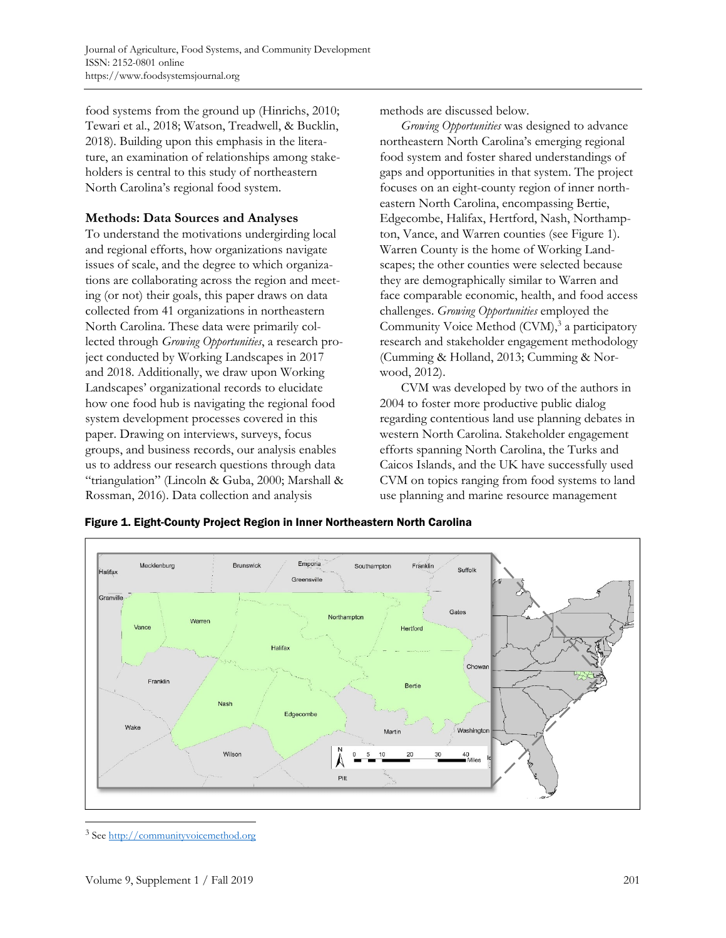food systems from the ground up (Hinrichs, 2010; Tewari et al., 2018; Watson, Treadwell, & Bucklin, 2018). Building upon this emphasis in the literature, an examination of relationships among stakeholders is central to this study of northeastern North Carolina's regional food system.

### **Methods: Data Sources and Analyses**

To understand the motivations undergirding local and regional efforts, how organizations navigate issues of scale, and the degree to which organizations are collaborating across the region and meeting (or not) their goals, this paper draws on data collected from 41 organizations in northeastern North Carolina. These data were primarily collected through *Growing Opportunities*, a research project conducted by Working Landscapes in 2017 and 2018. Additionally, we draw upon Working Landscapes' organizational records to elucidate how one food hub is navigating the regional food system development processes covered in this paper. Drawing on interviews, surveys, focus groups, and business records, our analysis enables us to address our research questions through data "triangulation" (Lincoln & Guba, 2000; Marshall & Rossman, 2016). Data collection and analysis

methods are discussed below.

*Growing Opportunities* was designed to advance northeastern North Carolina's emerging regional food system and foster shared understandings of gaps and opportunities in that system. The project focuses on an eight-county region of inner northeastern North Carolina, encompassing Bertie, Edgecombe, Halifax, Hertford, Nash, Northampton, Vance, and Warren counties (see Figure 1). Warren County is the home of Working Landscapes; the other counties were selected because they are demographically similar to Warren and face comparable economic, health, and food access challenges. *Growing Opportunities* employed the Community Voice Method (CVM),<sup>3</sup> a participatory research and stakeholder engagement methodology (Cumming & Holland, 2013; Cumming & Norwood, 2012).

 CVM was developed by two of the authors in 2004 to foster more productive public dialog regarding contentious land use planning debates in western North Carolina. Stakeholder engagement efforts spanning North Carolina, the Turks and Caicos Islands, and the UK have successfully used CVM on topics ranging from food systems to land use planning and marine resource management



Figure 1. Eight-County Project Region in Inner Northeastern North Carolina

<sup>&</sup>lt;sup>3</sup> See http://communityvoicemethod.org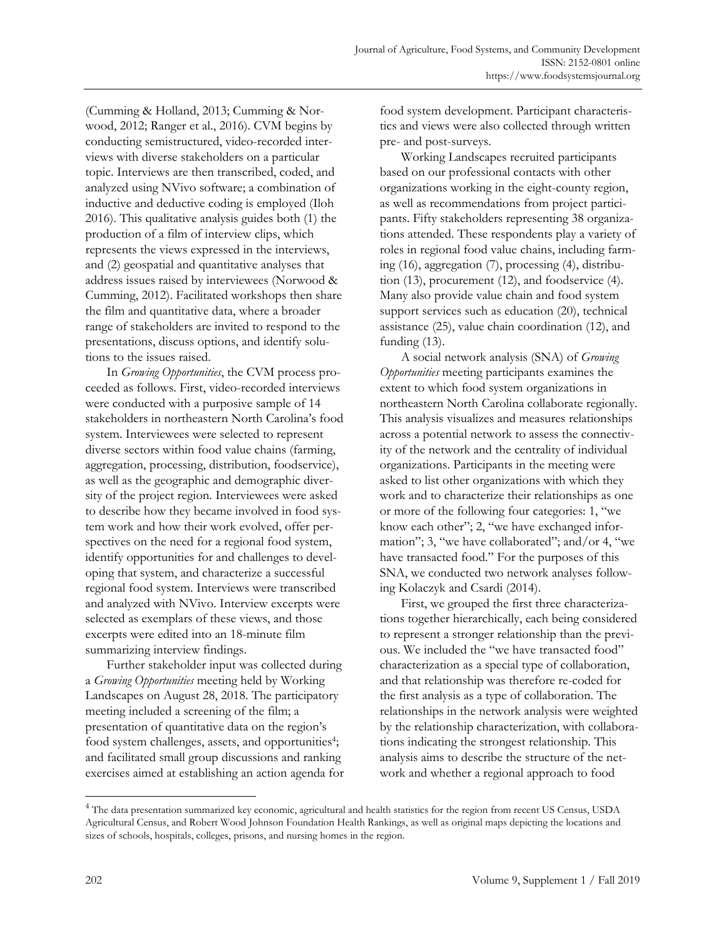(Cumming & Holland, 2013; Cumming & Norwood, 2012; Ranger et al., 2016). CVM begins by conducting semistructured, video-recorded interviews with diverse stakeholders on a particular topic. Interviews are then transcribed, coded, and analyzed using NVivo software; a combination of inductive and deductive coding is employed (Iloh 2016). This qualitative analysis guides both (1) the production of a film of interview clips, which represents the views expressed in the interviews, and (2) geospatial and quantitative analyses that address issues raised by interviewees (Norwood & Cumming, 2012). Facilitated workshops then share the film and quantitative data, where a broader range of stakeholders are invited to respond to the presentations, discuss options, and identify solutions to the issues raised.

 In *Growing Opportunities*, the CVM process proceeded as follows. First, video-recorded interviews were conducted with a purposive sample of 14 stakeholders in northeastern North Carolina's food system. Interviewees were selected to represent diverse sectors within food value chains (farming, aggregation, processing, distribution, foodservice), as well as the geographic and demographic diversity of the project region. Interviewees were asked to describe how they became involved in food system work and how their work evolved, offer perspectives on the need for a regional food system, identify opportunities for and challenges to developing that system, and characterize a successful regional food system. Interviews were transcribed and analyzed with NVivo. Interview excerpts were selected as exemplars of these views, and those excerpts were edited into an 18-minute film summarizing interview findings.

 Further stakeholder input was collected during a *Growing Opportunities* meeting held by Working Landscapes on August 28, 2018. The participatory meeting included a screening of the film; a presentation of quantitative data on the region's food system challenges, assets, and opportunities<sup>4</sup>; and facilitated small group discussions and ranking exercises aimed at establishing an action agenda for food system development. Participant characteristics and views were also collected through written pre- and post-surveys.

 Working Landscapes recruited participants based on our professional contacts with other organizations working in the eight-county region, as well as recommendations from project participants. Fifty stakeholders representing 38 organizations attended. These respondents play a variety of roles in regional food value chains, including farming (16), aggregation (7), processing (4), distribution (13), procurement (12), and foodservice (4). Many also provide value chain and food system support services such as education (20), technical assistance (25), value chain coordination (12), and funding  $(13)$ .

 A social network analysis (SNA) of *Growing Opportunities* meeting participants examines the extent to which food system organizations in northeastern North Carolina collaborate regionally. This analysis visualizes and measures relationships across a potential network to assess the connectivity of the network and the centrality of individual organizations. Participants in the meeting were asked to list other organizations with which they work and to characterize their relationships as one or more of the following four categories: 1, "we know each other"; 2, "we have exchanged information"; 3, "we have collaborated"; and/or 4, "we have transacted food." For the purposes of this SNA, we conducted two network analyses following Kolaczyk and Csardi (2014).

 First, we grouped the first three characterizations together hierarchically, each being considered to represent a stronger relationship than the previous. We included the "we have transacted food" characterization as a special type of collaboration, and that relationship was therefore re-coded for the first analysis as a type of collaboration. The relationships in the network analysis were weighted by the relationship characterization, with collaborations indicating the strongest relationship. This analysis aims to describe the structure of the network and whether a regional approach to food

<sup>&</sup>lt;sup>4</sup> The data presentation summarized key economic, agricultural and health statistics for the region from recent US Census, USDA Agricultural Census, and Robert Wood Johnson Foundation Health Rankings, as well as original maps depicting the locations and sizes of schools, hospitals, colleges, prisons, and nursing homes in the region.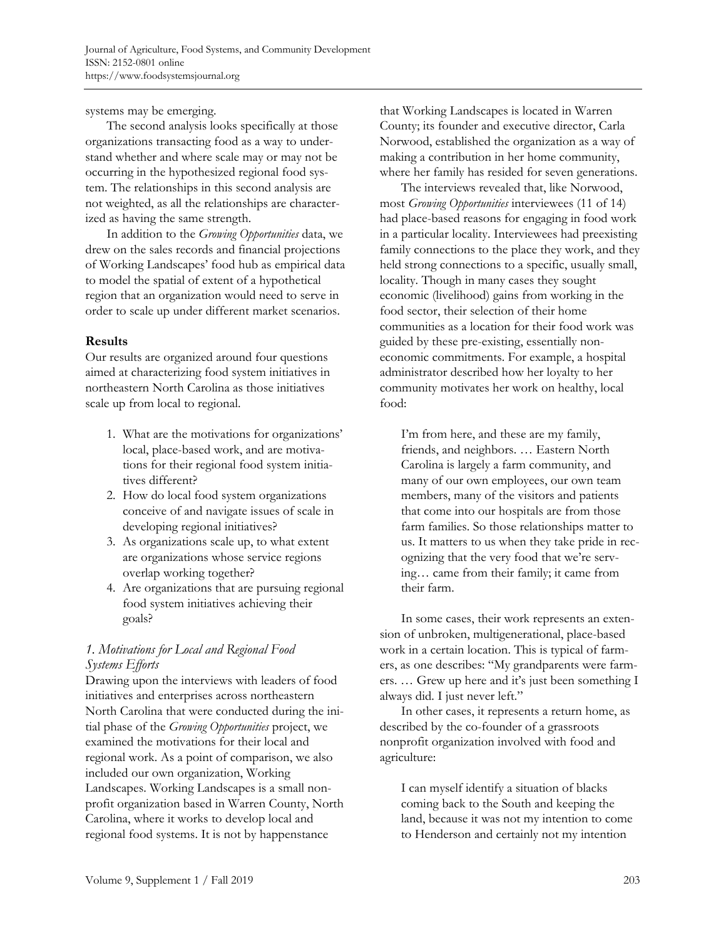systems may be emerging.

 The second analysis looks specifically at those organizations transacting food as a way to understand whether and where scale may or may not be occurring in the hypothesized regional food system. The relationships in this second analysis are not weighted, as all the relationships are characterized as having the same strength.

 In addition to the *Growing Opportunities* data, we drew on the sales records and financial projections of Working Landscapes' food hub as empirical data to model the spatial of extent of a hypothetical region that an organization would need to serve in order to scale up under different market scenarios.

# **Results**

Our results are organized around four questions aimed at characterizing food system initiatives in northeastern North Carolina as those initiatives scale up from local to regional.

- 1. What are the motivations for organizations' local, place-based work, and are motivations for their regional food system initiatives different?
- 2. How do local food system organizations conceive of and navigate issues of scale in developing regional initiatives?
- 3. As organizations scale up, to what extent are organizations whose service regions overlap working together?
- 4. Are organizations that are pursuing regional food system initiatives achieving their goals?

# *1. Motivations for Local and Regional Food Systems Efforts*

Drawing upon the interviews with leaders of food initiatives and enterprises across northeastern North Carolina that were conducted during the initial phase of the *Growing Opportunities* project, we examined the motivations for their local and regional work. As a point of comparison, we also included our own organization, Working Landscapes. Working Landscapes is a small nonprofit organization based in Warren County, North Carolina, where it works to develop local and regional food systems. It is not by happenstance

that Working Landscapes is located in Warren County; its founder and executive director, Carla Norwood, established the organization as a way of making a contribution in her home community, where her family has resided for seven generations.

 The interviews revealed that, like Norwood, most *Growing Opportunities* interviewees (11 of 14) had place-based reasons for engaging in food work in a particular locality. Interviewees had preexisting family connections to the place they work, and they held strong connections to a specific, usually small, locality. Though in many cases they sought economic (livelihood) gains from working in the food sector, their selection of their home communities as a location for their food work was guided by these pre-existing, essentially noneconomic commitments. For example, a hospital administrator described how her loyalty to her community motivates her work on healthy, local food:

I'm from here, and these are my family, friends, and neighbors. … Eastern North Carolina is largely a farm community, and many of our own employees, our own team members, many of the visitors and patients that come into our hospitals are from those farm families. So those relationships matter to us. It matters to us when they take pride in recognizing that the very food that we're serving… came from their family; it came from their farm.

 In some cases, their work represents an extension of unbroken, multigenerational, place-based work in a certain location. This is typical of farmers, as one describes: "My grandparents were farmers. … Grew up here and it's just been something I always did. I just never left."

 In other cases, it represents a return home, as described by the co-founder of a grassroots nonprofit organization involved with food and agriculture:

I can myself identify a situation of blacks coming back to the South and keeping the land, because it was not my intention to come to Henderson and certainly not my intention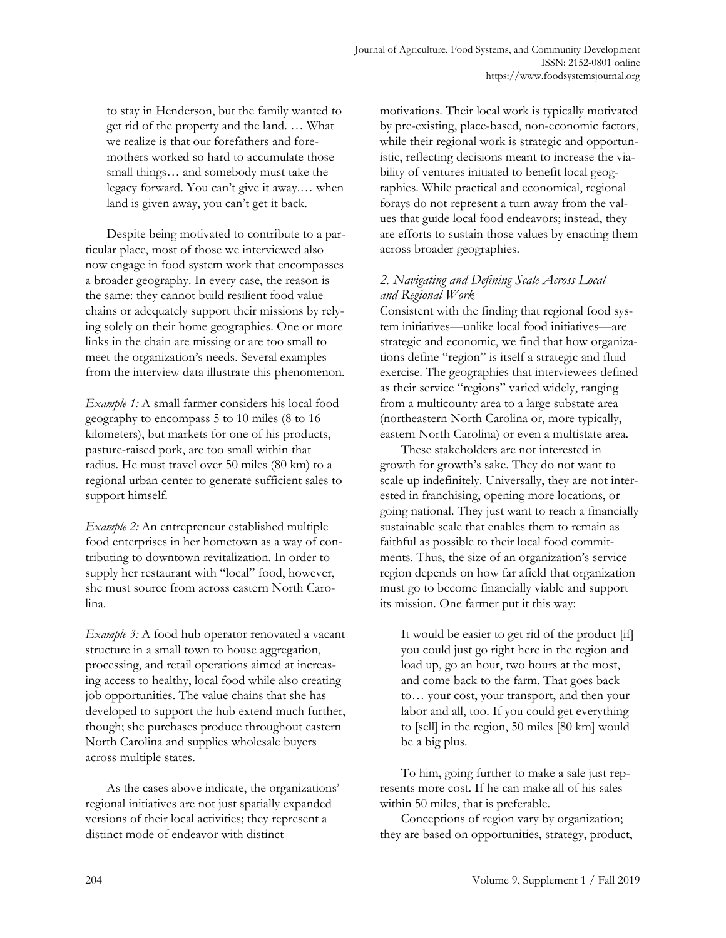to stay in Henderson, but the family wanted to get rid of the property and the land. … What we realize is that our forefathers and foremothers worked so hard to accumulate those small things… and somebody must take the legacy forward. You can't give it away.… when land is given away, you can't get it back.

 Despite being motivated to contribute to a particular place, most of those we interviewed also now engage in food system work that encompasses a broader geography. In every case, the reason is the same: they cannot build resilient food value chains or adequately support their missions by relying solely on their home geographies. One or more links in the chain are missing or are too small to meet the organization's needs. Several examples from the interview data illustrate this phenomenon.

*Example 1:* A small farmer considers his local food geography to encompass 5 to 10 miles (8 to 16 kilometers), but markets for one of his products, pasture-raised pork, are too small within that radius. He must travel over 50 miles (80 km) to a regional urban center to generate sufficient sales to support himself.

*Example 2:* An entrepreneur established multiple food enterprises in her hometown as a way of contributing to downtown revitalization. In order to supply her restaurant with "local" food, however, she must source from across eastern North Carolina.

*Example 3:* A food hub operator renovated a vacant structure in a small town to house aggregation, processing, and retail operations aimed at increasing access to healthy, local food while also creating job opportunities. The value chains that she has developed to support the hub extend much further, though; she purchases produce throughout eastern North Carolina and supplies wholesale buyers across multiple states.

 As the cases above indicate, the organizations' regional initiatives are not just spatially expanded versions of their local activities; they represent a distinct mode of endeavor with distinct

motivations. Their local work is typically motivated by pre-existing, place-based, non-economic factors, while their regional work is strategic and opportunistic, reflecting decisions meant to increase the viability of ventures initiated to benefit local geographies. While practical and economical, regional forays do not represent a turn away from the values that guide local food endeavors; instead, they are efforts to sustain those values by enacting them across broader geographies.

# *2. Navigating and Defining Scale Across Local and Regional Work*

Consistent with the finding that regional food system initiatives—unlike local food initiatives—are strategic and economic, we find that how organizations define "region" is itself a strategic and fluid exercise. The geographies that interviewees defined as their service "regions" varied widely, ranging from a multicounty area to a large substate area (northeastern North Carolina or, more typically, eastern North Carolina) or even a multistate area.

 These stakeholders are not interested in growth for growth's sake. They do not want to scale up indefinitely. Universally, they are not interested in franchising, opening more locations, or going national. They just want to reach a financially sustainable scale that enables them to remain as faithful as possible to their local food commitments. Thus, the size of an organization's service region depends on how far afield that organization must go to become financially viable and support its mission. One farmer put it this way:

It would be easier to get rid of the product [if] you could just go right here in the region and load up, go an hour, two hours at the most, and come back to the farm. That goes back to… your cost, your transport, and then your labor and all, too. If you could get everything to [sell] in the region, 50 miles [80 km] would be a big plus.

 To him, going further to make a sale just represents more cost. If he can make all of his sales within 50 miles, that is preferable.

 Conceptions of region vary by organization; they are based on opportunities, strategy, product,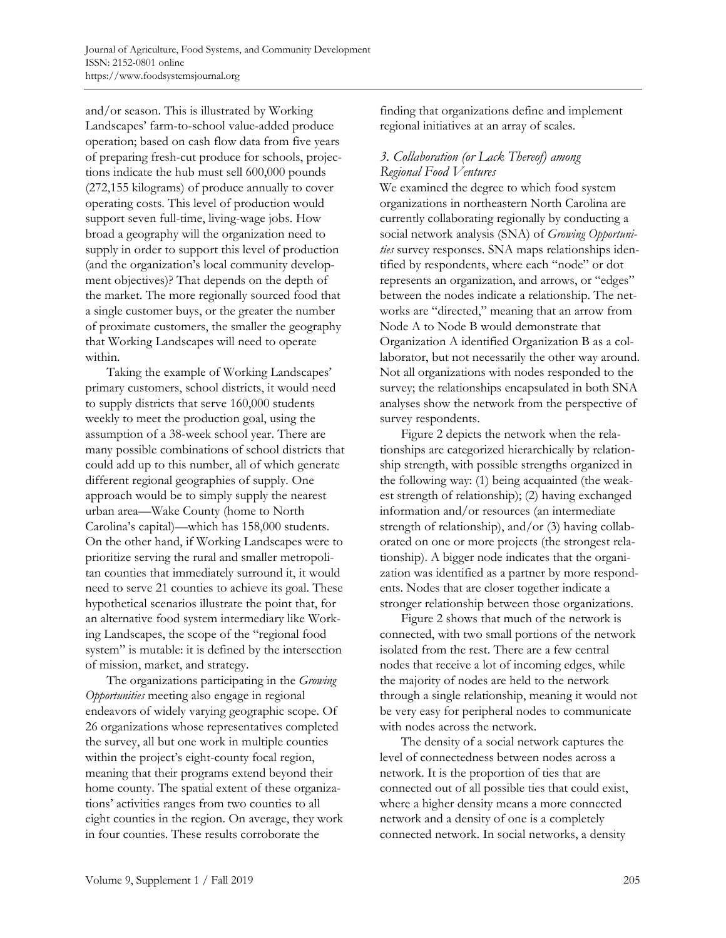and/or season. This is illustrated by Working Landscapes' farm-to-school value-added produce operation; based on cash flow data from five years of preparing fresh-cut produce for schools, projections indicate the hub must sell 600,000 pounds (272,155 kilograms) of produce annually to cover operating costs. This level of production would support seven full-time, living-wage jobs. How broad a geography will the organization need to supply in order to support this level of production (and the organization's local community development objectives)? That depends on the depth of the market. The more regionally sourced food that a single customer buys, or the greater the number of proximate customers, the smaller the geography that Working Landscapes will need to operate within.

 Taking the example of Working Landscapes' primary customers, school districts, it would need to supply districts that serve 160,000 students weekly to meet the production goal, using the assumption of a 38-week school year. There are many possible combinations of school districts that could add up to this number, all of which generate different regional geographies of supply. One approach would be to simply supply the nearest urban area—Wake County (home to North Carolina's capital)—which has 158,000 students. On the other hand, if Working Landscapes were to prioritize serving the rural and smaller metropolitan counties that immediately surround it, it would need to serve 21 counties to achieve its goal. These hypothetical scenarios illustrate the point that, for an alternative food system intermediary like Working Landscapes, the scope of the "regional food system" is mutable: it is defined by the intersection of mission, market, and strategy.

 The organizations participating in the *Growing Opportunities* meeting also engage in regional endeavors of widely varying geographic scope. Of 26 organizations whose representatives completed the survey, all but one work in multiple counties within the project's eight-county focal region, meaning that their programs extend beyond their home county. The spatial extent of these organizations' activities ranges from two counties to all eight counties in the region. On average, they work in four counties. These results corroborate the

finding that organizations define and implement regional initiatives at an array of scales.

# *3. Collaboration (or Lack Thereof) among Regional Food Ventures*

We examined the degree to which food system organizations in northeastern North Carolina are currently collaborating regionally by conducting a social network analysis (SNA) of *Growing Opportunities* survey responses. SNA maps relationships identified by respondents, where each "node" or dot represents an organization, and arrows, or "edges" between the nodes indicate a relationship. The networks are "directed," meaning that an arrow from Node A to Node B would demonstrate that Organization A identified Organization B as a collaborator, but not necessarily the other way around. Not all organizations with nodes responded to the survey; the relationships encapsulated in both SNA analyses show the network from the perspective of survey respondents.

 Figure 2 depicts the network when the relationships are categorized hierarchically by relationship strength, with possible strengths organized in the following way: (1) being acquainted (the weakest strength of relationship); (2) having exchanged information and/or resources (an intermediate strength of relationship), and/or (3) having collaborated on one or more projects (the strongest relationship). A bigger node indicates that the organization was identified as a partner by more respondents. Nodes that are closer together indicate a stronger relationship between those organizations.

 Figure 2 shows that much of the network is connected, with two small portions of the network isolated from the rest. There are a few central nodes that receive a lot of incoming edges, while the majority of nodes are held to the network through a single relationship, meaning it would not be very easy for peripheral nodes to communicate with nodes across the network.

 The density of a social network captures the level of connectedness between nodes across a network. It is the proportion of ties that are connected out of all possible ties that could exist, where a higher density means a more connected network and a density of one is a completely connected network. In social networks, a density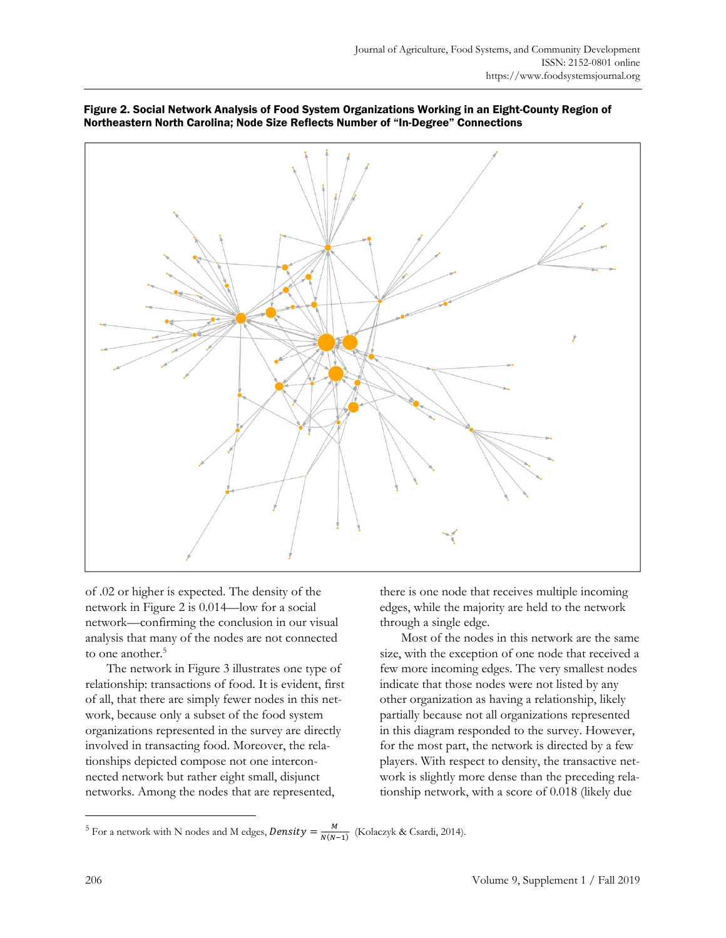



of .02 or higher is expected. The density of the network in Figure 2 is 0.014—low for a social network—confirming the conclusion in our visual analysis that many of the nodes are not connected to one another.<sup>5</sup>

 The network in Figure 3 illustrates one type of relationship: transactions of food. It is evident, first of all, that there are simply fewer nodes in this network, because only a subset of the food system organizations represented in the survey are directly involved in transacting food. Moreover, the relationships depicted compose not one interconnected network but rather eight small, disjunct networks. Among the nodes that are represented,

there is one node that receives multiple incoming edges, while the majority are held to the network through a single edge.

 Most of the nodes in this network are the same size, with the exception of one node that received a few more incoming edges. The very smallest nodes indicate that those nodes were not listed by any other organization as having a relationship, likely partially because not all organizations represented in this diagram responded to the survey. However, for the most part, the network is directed by a few players. With respect to density, the transactive network is slightly more dense than the preceding relationship network, with a score of 0.018 (likely due

<sup>&</sup>lt;sup>5</sup> For a network with N nodes and M edges, *Density* =  $\frac{M}{N(N-1)}$  (Kolaczyk & Csardi, 2014).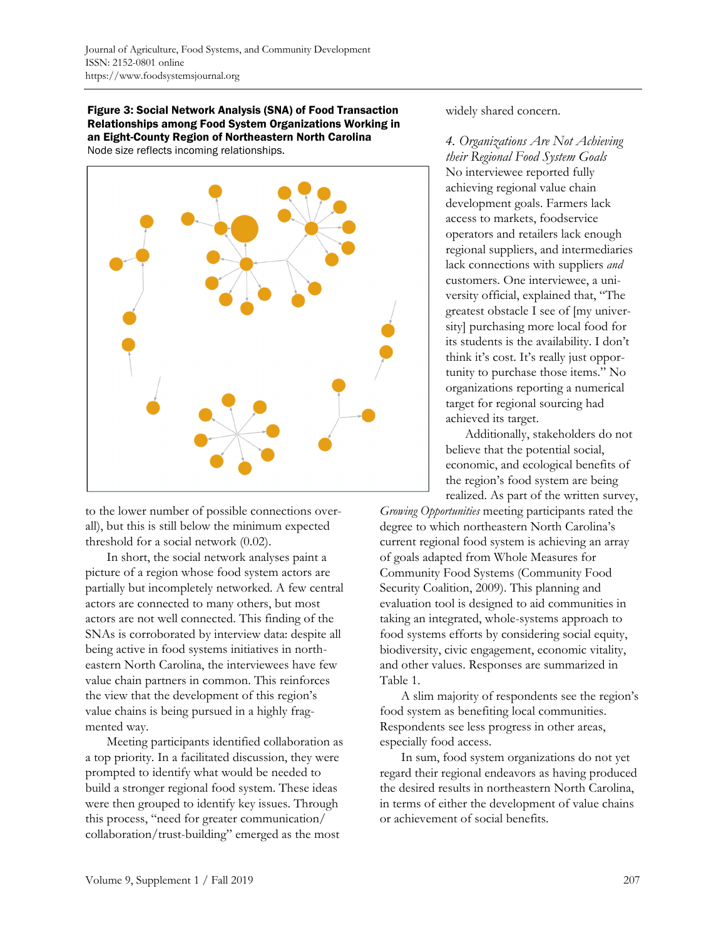Figure 3: Social Network Analysis (SNA) of Food Transaction Relationships among Food System Organizations Working in an Eight-County Region of Northeastern North Carolina Node size reflects incoming relationships.



to the lower number of possible connections overall), but this is still below the minimum expected threshold for a social network (0.02).

In short, the social network analyses paint a picture of a region whose food system actors are partially but incompletely networked. A few central actors are connected to many others, but most actors are not well connected. This finding of the SNAs is corroborated by interview data: despite all being active in food systems initiatives in northeastern North Carolina, the interviewees have few value chain partners in common. This reinforces the view that the development of this region's value chains is being pursued in a highly fragmented way.

 Meeting participants identified collaboration as a top priority. In a facilitated discussion, they were prompted to identify what would be needed to build a stronger regional food system. These ideas were then grouped to identify key issues. Through this process, "need for greater communication/ collaboration/trust-building" emerged as the most

widely shared concern.

*4. Organizations Are Not Achieving their Regional Food System Goals*  No interviewee reported fully achieving regional value chain development goals. Farmers lack access to markets, foodservice operators and retailers lack enough regional suppliers, and intermediaries lack connections with suppliers *and* customers. One interviewee, a university official, explained that, "The greatest obstacle I see of [my university] purchasing more local food for its students is the availability. I don't think it's cost. It's really just opportunity to purchase those items." No organizations reporting a numerical target for regional sourcing had achieved its target.

 Additionally, stakeholders do not believe that the potential social, economic, and ecological benefits of the region's food system are being realized. As part of the written survey,

*Growing Opportunities* meeting participants rated the degree to which northeastern North Carolina's current regional food system is achieving an array of goals adapted from Whole Measures for Community Food Systems (Community Food Security Coalition, 2009). This planning and evaluation tool is designed to aid communities in taking an integrated, whole-systems approach to food systems efforts by considering social equity, biodiversity, civic engagement, economic vitality, and other values. Responses are summarized in Table 1.

 A slim majority of respondents see the region's food system as benefiting local communities. Respondents see less progress in other areas, especially food access.

 In sum, food system organizations do not yet regard their regional endeavors as having produced the desired results in northeastern North Carolina, in terms of either the development of value chains or achievement of social benefits.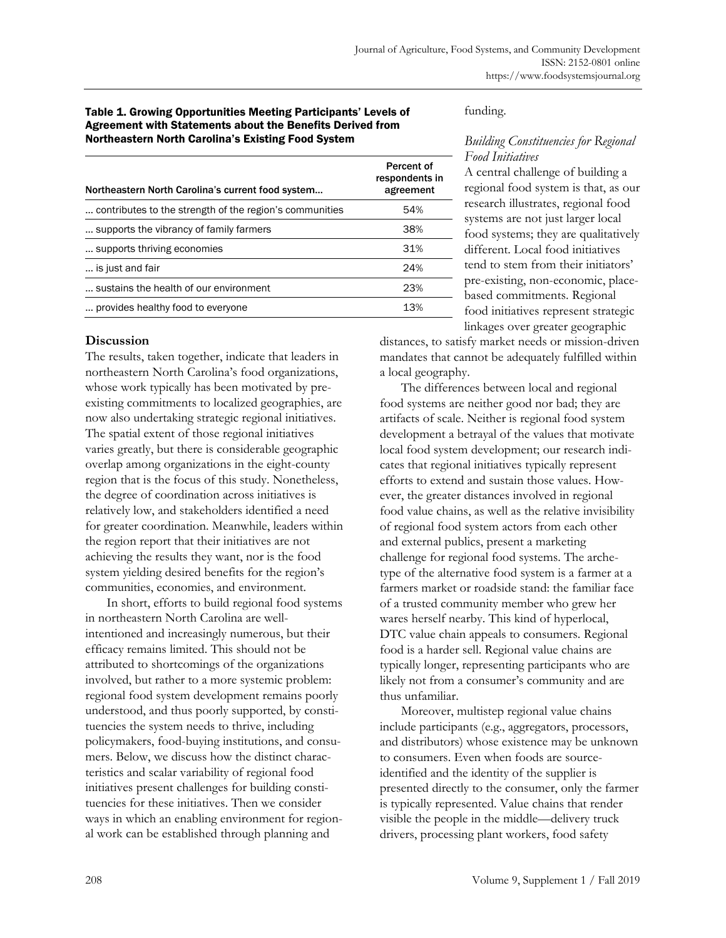#### Table 1. Growing Opportunities Meeting Participants' Levels of Agreement with Statements about the Benefits Derived from Northeastern North Carolina's Existing Food System

| Northeastern North Carolina's current food system       | Percent of<br>respondents in<br>agreement |
|---------------------------------------------------------|-------------------------------------------|
| contributes to the strength of the region's communities | 54%                                       |
| supports the vibrancy of family farmers.                | 38%                                       |
| supports thriving economies                             | 31%                                       |
| is just and fair                                        | 24%                                       |
| sustains the health of our environment                  | 23%                                       |
| provides healthy food to everyone                       | 13%                                       |

### **Discussion**

The results, taken together, indicate that leaders in northeastern North Carolina's food organizations, whose work typically has been motivated by preexisting commitments to localized geographies, are now also undertaking strategic regional initiatives. The spatial extent of those regional initiatives varies greatly, but there is considerable geographic overlap among organizations in the eight-county region that is the focus of this study. Nonetheless, the degree of coordination across initiatives is relatively low, and stakeholders identified a need for greater coordination. Meanwhile, leaders within the region report that their initiatives are not achieving the results they want, nor is the food system yielding desired benefits for the region's communities, economies, and environment.

 In short, efforts to build regional food systems in northeastern North Carolina are wellintentioned and increasingly numerous, but their efficacy remains limited. This should not be attributed to shortcomings of the organizations involved, but rather to a more systemic problem: regional food system development remains poorly understood, and thus poorly supported, by constituencies the system needs to thrive, including policymakers, food-buying institutions, and consumers. Below, we discuss how the distinct characteristics and scalar variability of regional food initiatives present challenges for building constituencies for these initiatives. Then we consider ways in which an enabling environment for regional work can be established through planning and

#### funding.

### *Building Constituencies for Regional Food Initiatives*

A central challenge of building a regional food system is that, as our research illustrates, regional food systems are not just larger local food systems; they are qualitatively different. Local food initiatives tend to stem from their initiators' pre-existing, non-economic, placebased commitments. Regional food initiatives represent strategic linkages over greater geographic

distances, to satisfy market needs or mission-driven mandates that cannot be adequately fulfilled within a local geography.

 The differences between local and regional food systems are neither good nor bad; they are artifacts of scale. Neither is regional food system development a betrayal of the values that motivate local food system development; our research indicates that regional initiatives typically represent efforts to extend and sustain those values. However, the greater distances involved in regional food value chains, as well as the relative invisibility of regional food system actors from each other and external publics, present a marketing challenge for regional food systems. The archetype of the alternative food system is a farmer at a farmers market or roadside stand: the familiar face of a trusted community member who grew her wares herself nearby. This kind of hyperlocal, DTC value chain appeals to consumers. Regional food is a harder sell. Regional value chains are typically longer, representing participants who are likely not from a consumer's community and are thus unfamiliar.

 Moreover, multistep regional value chains include participants (e.g., aggregators, processors, and distributors) whose existence may be unknown to consumers. Even when foods are sourceidentified and the identity of the supplier is presented directly to the consumer, only the farmer is typically represented. Value chains that render visible the people in the middle—delivery truck drivers, processing plant workers, food safety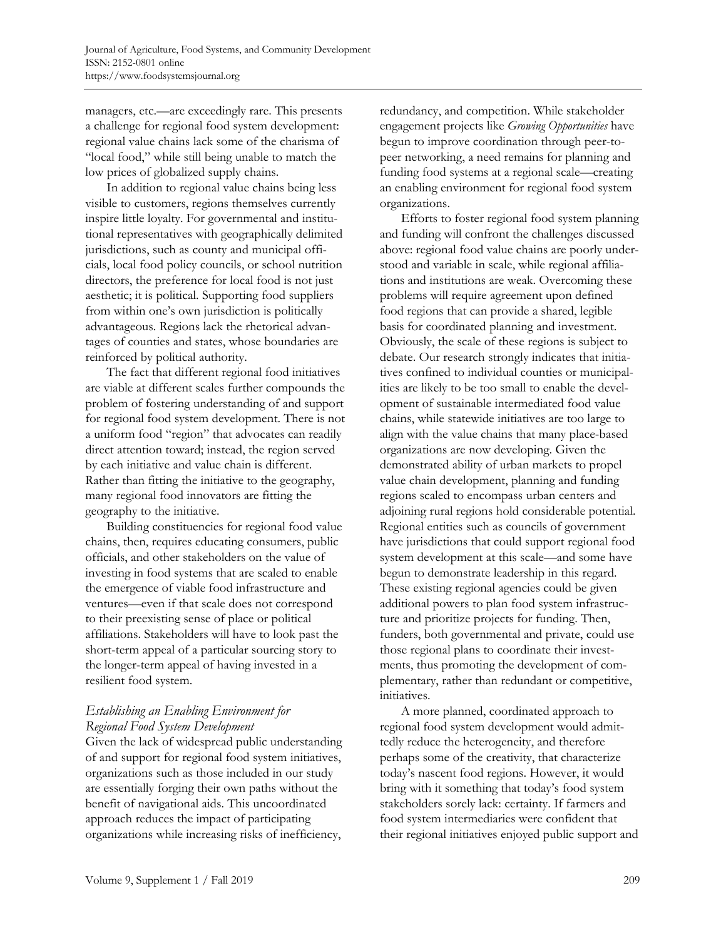managers, etc.—are exceedingly rare. This presents a challenge for regional food system development: regional value chains lack some of the charisma of "local food," while still being unable to match the low prices of globalized supply chains.

 In addition to regional value chains being less visible to customers, regions themselves currently inspire little loyalty. For governmental and institutional representatives with geographically delimited jurisdictions, such as county and municipal officials, local food policy councils, or school nutrition directors, the preference for local food is not just aesthetic; it is political. Supporting food suppliers from within one's own jurisdiction is politically advantageous. Regions lack the rhetorical advantages of counties and states, whose boundaries are reinforced by political authority.

 The fact that different regional food initiatives are viable at different scales further compounds the problem of fostering understanding of and support for regional food system development. There is not a uniform food "region" that advocates can readily direct attention toward; instead, the region served by each initiative and value chain is different. Rather than fitting the initiative to the geography, many regional food innovators are fitting the geography to the initiative.

 Building constituencies for regional food value chains, then, requires educating consumers, public officials, and other stakeholders on the value of investing in food systems that are scaled to enable the emergence of viable food infrastructure and ventures—even if that scale does not correspond to their preexisting sense of place or political affiliations. Stakeholders will have to look past the short-term appeal of a particular sourcing story to the longer-term appeal of having invested in a resilient food system.

# *Establishing an Enabling Environment for Regional Food System Development*

Given the lack of widespread public understanding of and support for regional food system initiatives, organizations such as those included in our study are essentially forging their own paths without the benefit of navigational aids. This uncoordinated approach reduces the impact of participating organizations while increasing risks of inefficiency,

redundancy, and competition. While stakeholder engagement projects like *Growing Opportunities* have begun to improve coordination through peer-topeer networking, a need remains for planning and funding food systems at a regional scale—creating an enabling environment for regional food system organizations.

 Efforts to foster regional food system planning and funding will confront the challenges discussed above: regional food value chains are poorly understood and variable in scale, while regional affiliations and institutions are weak. Overcoming these problems will require agreement upon defined food regions that can provide a shared, legible basis for coordinated planning and investment. Obviously, the scale of these regions is subject to debate. Our research strongly indicates that initiatives confined to individual counties or municipalities are likely to be too small to enable the development of sustainable intermediated food value chains, while statewide initiatives are too large to align with the value chains that many place-based organizations are now developing. Given the demonstrated ability of urban markets to propel value chain development, planning and funding regions scaled to encompass urban centers and adjoining rural regions hold considerable potential. Regional entities such as councils of government have jurisdictions that could support regional food system development at this scale—and some have begun to demonstrate leadership in this regard. These existing regional agencies could be given additional powers to plan food system infrastructure and prioritize projects for funding. Then, funders, both governmental and private, could use those regional plans to coordinate their investments, thus promoting the development of complementary, rather than redundant or competitive, initiatives.

 A more planned, coordinated approach to regional food system development would admittedly reduce the heterogeneity, and therefore perhaps some of the creativity, that characterize today's nascent food regions. However, it would bring with it something that today's food system stakeholders sorely lack: certainty. If farmers and food system intermediaries were confident that their regional initiatives enjoyed public support and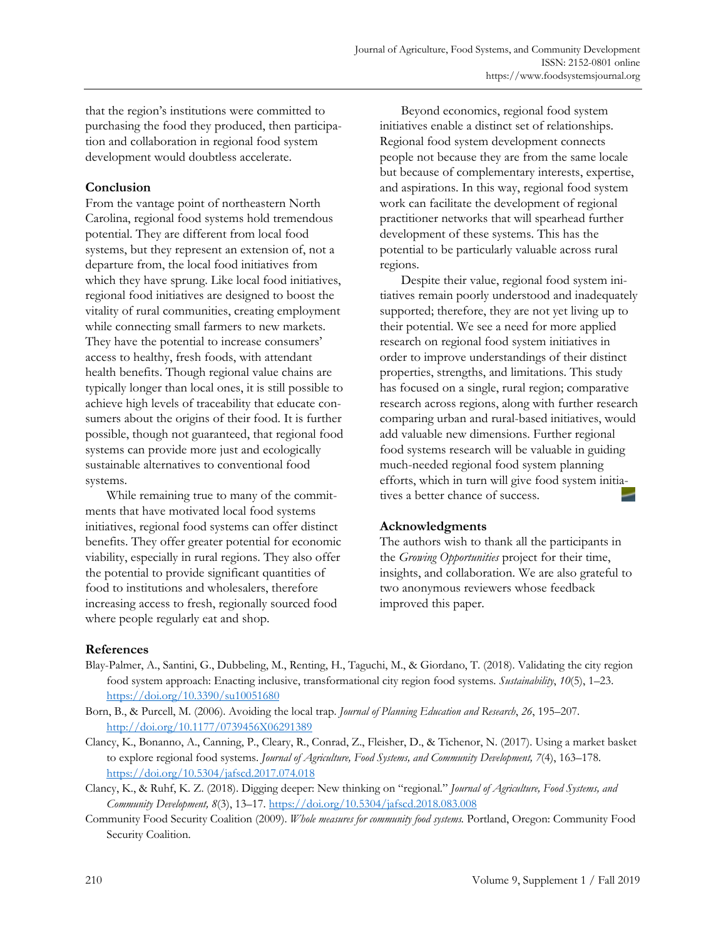that the region's institutions were committed to purchasing the food they produced, then participation and collaboration in regional food system development would doubtless accelerate.

# **Conclusion**

From the vantage point of northeastern North Carolina, regional food systems hold tremendous potential. They are different from local food systems, but they represent an extension of, not a departure from, the local food initiatives from which they have sprung. Like local food initiatives, regional food initiatives are designed to boost the vitality of rural communities, creating employment while connecting small farmers to new markets. They have the potential to increase consumers' access to healthy, fresh foods, with attendant health benefits. Though regional value chains are typically longer than local ones, it is still possible to achieve high levels of traceability that educate consumers about the origins of their food. It is further possible, though not guaranteed, that regional food systems can provide more just and ecologically sustainable alternatives to conventional food systems.

 While remaining true to many of the commitments that have motivated local food systems initiatives, regional food systems can offer distinct benefits. They offer greater potential for economic viability, especially in rural regions. They also offer the potential to provide significant quantities of food to institutions and wholesalers, therefore increasing access to fresh, regionally sourced food where people regularly eat and shop.

 Beyond economics, regional food system initiatives enable a distinct set of relationships. Regional food system development connects people not because they are from the same locale but because of complementary interests, expertise, and aspirations. In this way, regional food system work can facilitate the development of regional practitioner networks that will spearhead further development of these systems. This has the potential to be particularly valuable across rural regions.

 Despite their value, regional food system initiatives remain poorly understood and inadequately supported; therefore, they are not yet living up to their potential. We see a need for more applied research on regional food system initiatives in order to improve understandings of their distinct properties, strengths, and limitations. This study has focused on a single, rural region; comparative research across regions, along with further research comparing urban and rural-based initiatives, would add valuable new dimensions. Further regional food systems research will be valuable in guiding much-needed regional food system planning efforts, which in turn will give food system initiatives a better chance of success.

# **Acknowledgments**

The authors wish to thank all the participants in the *Growing Opportunities* project for their time, insights, and collaboration. We are also grateful to two anonymous reviewers whose feedback improved this paper.

# **References**

- Blay-Palmer, A., Santini, G., Dubbeling, M., Renting, H., Taguchi, M., & Giordano, T. (2018). Validating the city region food system approach: Enacting inclusive, transformational city region food systems. *Sustainability*, *10*(5), 1–23. https://doi.org/10.3390/su10051680
- Born, B., & Purcell, M. (2006). Avoiding the local trap. *Journal of Planning Education and Research*, *26*, 195–207. http://doi.org/10.1177/0739456X06291389
- Clancy, K., Bonanno, A., Canning, P., Cleary, R., Conrad, Z., Fleisher, D., & Tichenor, N. (2017). Using a market basket to explore regional food systems. *Journal of Agriculture, Food Systems, and Community Development, 7*(4), 163–178. https://doi.org/10.5304/jafscd.2017.074.018
- Clancy, K., & Ruhf, K. Z. (2018). Digging deeper: New thinking on "regional." *Journal of Agriculture, Food Systems, and Community Development, 8*(3), 13–17. https://doi.org/10.5304/jafscd.2018.083.008
- Community Food Security Coalition (2009). *Whole measures for community food systems.* Portland, Oregon: Community Food Security Coalition.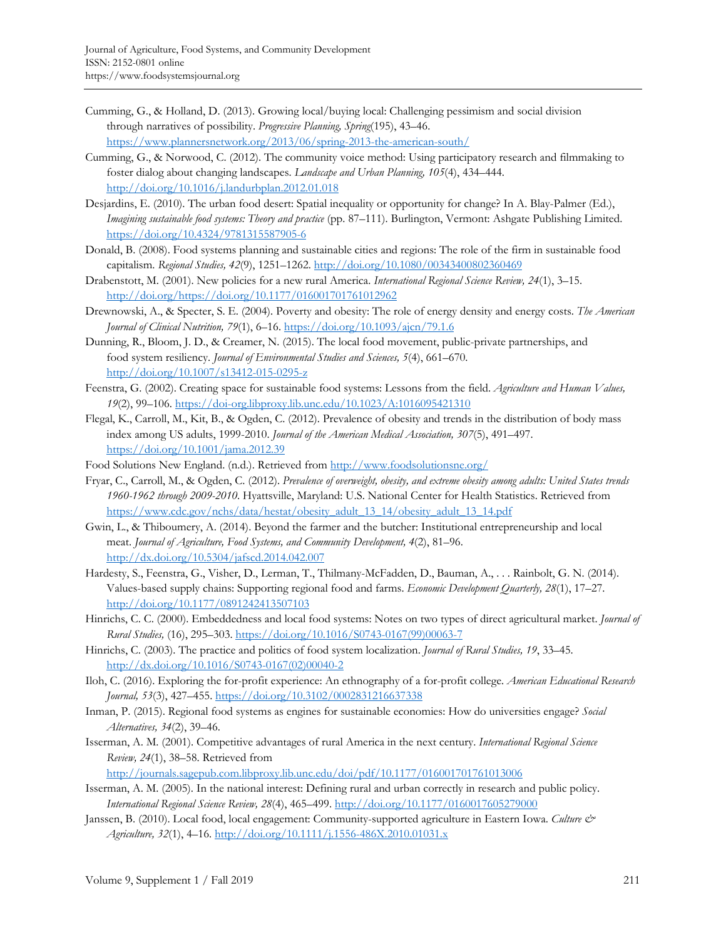- Cumming, G., & Holland, D. (2013). Growing local/buying local: Challenging pessimism and social division through narratives of possibility. *Progressive Planning, Spring*(195), 43–46. https://www.plannersnetwork.org/2013/06/spring-2013-the-american-south/
- Cumming, G., & Norwood, C. (2012). The community voice method: Using participatory research and filmmaking to foster dialog about changing landscapes. *Landscape and Urban Planning, 105*(4), 434–444. http://doi.org/10.1016/j.landurbplan.2012.01.018
- Desjardins, E. (2010). The urban food desert: Spatial inequality or opportunity for change? In A. Blay-Palmer (Ed.), *Imagining sustainable food systems: Theory and practice* (pp. 87–111). Burlington, Vermont: Ashgate Publishing Limited. https://doi.org/10.4324/9781315587905-6
- Donald, B. (2008). Food systems planning and sustainable cities and regions: The role of the firm in sustainable food capitalism. *Regional Studies, 42*(9), 1251–1262. http://doi.org/10.1080/00343400802360469
- Drabenstott, M. (2001). New policies for a new rural America. *International Regional Science Review, 24*(1), 3–15. http://doi.org/https://doi.org/10.1177/016001701761012962
- Drewnowski, A., & Specter, S. E. (2004). Poverty and obesity: The role of energy density and energy costs. *The American Journal of Clinical Nutrition, 79*(1), 6–16. https://doi.org/10.1093/ajcn/79.1.6
- Dunning, R., Bloom, J. D., & Creamer, N. (2015). The local food movement, public-private partnerships, and food system resiliency. *Journal of Environmental Studies and Sciences, 5*(4), 661–670. http://doi.org/10.1007/s13412-015-0295-z
- Feenstra, G. (2002). Creating space for sustainable food systems: Lessons from the field. *Agriculture and Human Values, 19*(2), 99–106. https://doi-org.libproxy.lib.unc.edu/10.1023/A:1016095421310
- Flegal, K., Carroll, M., Kit, B., & Ogden, C. (2012). Prevalence of obesity and trends in the distribution of body mass index among US adults, 1999-2010. *Journal of the American Medical Association, 307*(5), 491–497. https://doi.org/10.1001/jama.2012.39
- Food Solutions New England. (n.d.). Retrieved from http://www.foodsolutionsne.org/
- Fryar, C., Carroll, M., & Ogden, C. (2012). *Prevalence of overweight, obesity, and extreme obesity among adults: United States trends 1960-1962 through 2009-2010*. Hyattsville, Maryland: U.S. National Center for Health Statistics. Retrieved from https://www.cdc.gov/nchs/data/hestat/obesity\_adult\_13\_14/obesity\_adult\_13\_14.pdf
- Gwin, L., & Thiboumery, A. (2014). Beyond the farmer and the butcher: Institutional entrepreneurship and local meat. *Journal of Agriculture, Food Systems, and Community Development, 4*(2), 81–96. http://dx.doi.org/10.5304/jafscd.2014.042.007
- Hardesty, S., Feenstra, G., Visher, D., Lerman, T., Thilmany-McFadden, D., Bauman, A., . . . Rainbolt, G. N. (2014). Values-based supply chains: Supporting regional food and farms. *Economic Development Quarterly, 28*(1), 17–27. http://doi.org/10.1177/0891242413507103
- Hinrichs, C. C. (2000). Embeddedness and local food systems: Notes on two types of direct agricultural market. *Journal of Rural Studies,* (16), 295–303. [https://doi.org/10.1016/S0743-0167\(99\)00063-7](https://doi.org/10.1016/S0743-0167(99)00063-7)
- Hinrichs, C. (2003). The practice and politics of food system localization. *Journal of Rural Studies, 19*, 33–45. [http://dx.doi.org/10.1016/S0743-0167\(02\)00040-2](http://dx.doi.org/10.1016/S0743-0167(02)00040-2)
- Iloh, C. (2016). Exploring the for-profit experience: An ethnography of a for-profit college. *American Educational Research Journal, 53*(3), 427–455. https://doi.org/10.3102/0002831216637338
- Inman, P. (2015). Regional food systems as engines for sustainable economies: How do universities engage? *Social Alternatives, 34*(2), 39–46.
- Isserman, A. M. (2001). Competitive advantages of rural America in the next century. *International Regional Science Review, 24*(1), 38–58. Retrieved from

http://journals.sagepub.com.libproxy.lib.unc.edu/doi/pdf/10.1177/016001701761013006

- Isserman, A. M. (2005). In the national interest: Defining rural and urban correctly in research and public policy. *International Regional Science Review, 28*(4), 465–499. http://doi.org/10.1177/0160017605279000
- Janssen, B. (2010). Local food, local engagement: Community-supported agriculture in Eastern Iowa. *Culture & Agriculture, 32*(1), 4–16. http://doi.org/10.1111/j.1556-486X.2010.01031.x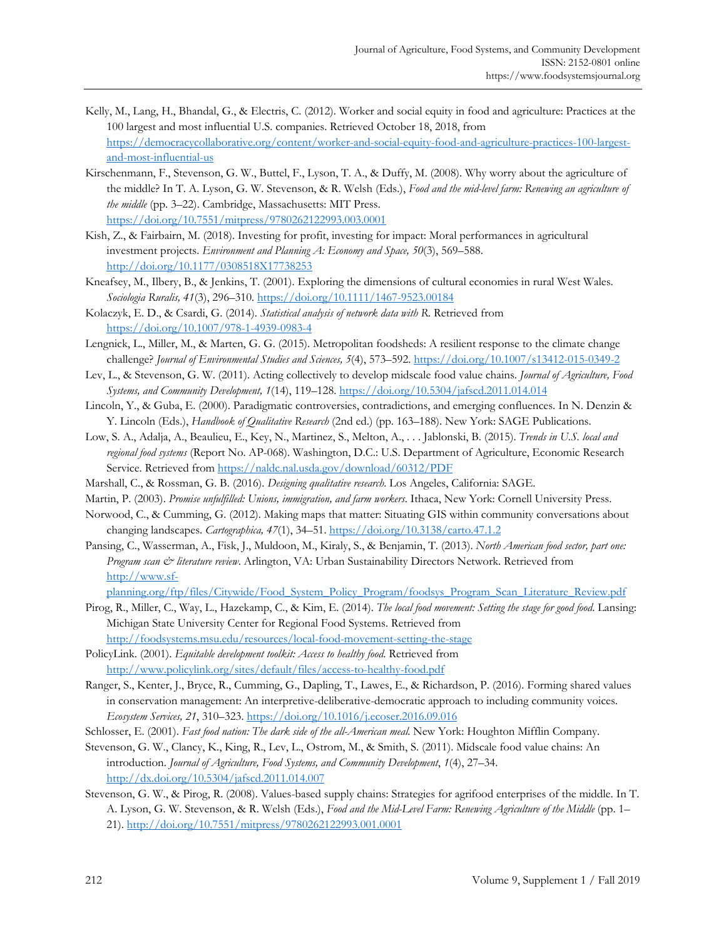- Kelly, M., Lang, H., Bhandal, G., & Electris, C. (2012). Worker and social equity in food and agriculture: Practices at the 100 largest and most influential U.S. companies. Retrieved October 18, 2018, from [https://democracycollaborative.org/content/worker-and-social-equity-food-and-agriculture-practices-100-largest](https://democracycollaborative.org/content/worker-and-social-equity-food-and-agriculture-practices-100-largest-and-most-influential-us)and-most-influential-us
- Kirschenmann, F., Stevenson, G. W., Buttel, F., Lyson, T. A., & Duffy, M. (2008). Why worry about the agriculture of the middle? In T. A. Lyson, G. W. Stevenson, & R. Welsh (Eds.), *Food and the mid-level farm: Renewing an agriculture of the middle* (pp. 3–22). Cambridge, Massachusetts: MIT Press. https://doi.org/10.7551/mitpress/9780262122993.003.0001
- Kish, Z., & Fairbairn, M. (2018). Investing for profit, investing for impact: Moral performances in agricultural investment projects. *Environment and Planning A: Economy and Space, 50*(3), 569–588. http://doi.org/10.1177/0308518X17738253
- Kneafsey, M., Ilbery, B., & Jenkins, T. (2001). Exploring the dimensions of cultural economies in rural West Wales. *Sociologia Ruralis, 41*(3), 296–310. https://doi.org/10.1111/1467-9523.00184
- Kolaczyk, E. D., & Csardi, G. (2014). *Statistical analysis of network data with R*. Retrieved from https://doi.org/10.1007/978-1-4939-0983-4
- Lengnick, L., Miller, M., & Marten, G. G. (2015). Metropolitan foodsheds: A resilient response to the climate change challenge? *Journal of Environmental Studies and Sciences, 5*(4), 573–592. https://doi.org/10.1007/s13412-015-0349-2
- Lev, L., & Stevenson, G. W. (2011). Acting collectively to develop midscale food value chains. *Journal of Agriculture, Food Systems, and Community Development, 1*(14), 119–128. https://doi.org/10.5304/jafscd.2011.014.014
- Lincoln, Y., & Guba, E. (2000). Paradigmatic controversies, contradictions, and emerging confluences. In N. Denzin & Y. Lincoln (Eds.), *Handbook of Qualitative Research* (2nd ed.) (pp. 163–188). New York: SAGE Publications.
- Low, S. A., Adalja, A., Beaulieu, E., Key, N., Martinez, S., Melton, A., . . . Jablonski, B. (2015). *Trends in U.S. local and regional food systems* (Report No. AP-068). Washington, D.C.: U.S. Department of Agriculture, Economic Research Service. Retrieved from https://naldc.nal.usda.gov/download/60312/PDF
- Marshall, C., & Rossman, G. B. (2016). *Designing qualitative research*. Los Angeles, California: SAGE.
- Martin, P. (2003). *Promise unfulfilled: Unions, immigration, and farm workers*. Ithaca, New York: Cornell University Press.
- Norwood, C., & Cumming, G. (2012). Making maps that matter: Situating GIS within community conversations about changing landscapes. *Cartographica, 47*(1), 34–51. https://doi.org/10.3138/carto.47.1.2
- Pansing, C., Wasserman, A., Fisk, J., Muldoon, M., Kiraly, S., & Benjamin, T. (2013). *North American food sector, part one: Program scan & literature review*. Arlington, VA: Urban Sustainability Directors Network. Retrieved from http://www.sf-

[planning.org/ftp/files/Citywide/Food\\_System\\_Policy\\_Program/foodsys\\_Program\\_Scan\\_Literature\\_Review.pdf](http://www.sf-planning.org/ftp/files/Citywide/Food_System_Policy_Program/foodsys_Program_Scan_Literature_Review.pdf)

- Pirog, R., Miller, C., Way, L., Hazekamp, C., & Kim, E. (2014). *The local food movement: Setting the stage for good food*. Lansing: Michigan State University Center for Regional Food Systems. Retrieved from
- http://foodsystems.msu.edu/resources/local-food-movement-setting-the-stage PolicyLink. (2001). *Equitable development toolkit: Access to healthy food*. Retrieved from
- http://www.policylink.org/sites/default/files/access-to-healthy-food.pdf
- Ranger, S., Kenter, J., Bryce, R., Cumming, G., Dapling, T., Lawes, E., & Richardson, P. (2016). Forming shared values in conservation management: An interpretive-deliberative-democratic approach to including community voices. *Ecosystem Services, 21*, 310–323. https://doi.org/10.1016/j.ecoser.2016.09.016
- Schlosser, E. (2001). *Fast food nation: The dark side of the all-American meal*. New York: Houghton Mifflin Company.
- Stevenson, G. W., Clancy, K., King, R., Lev, L., Ostrom, M., & Smith, S. (2011). Midscale food value chains: An introduction. *Journal of Agriculture, Food Systems, and Community Development*, *1*(4), 27–34. http://dx.doi.org/10.5304/jafscd.2011.014.007
- Stevenson, G. W., & Pirog, R. (2008). Values-based supply chains: Strategies for agrifood enterprises of the middle. In T. A. Lyson, G. W. Stevenson, & R. Welsh (Eds.), *Food and the Mid-Level Farm: Renewing Agriculture of the Middle* (pp. 1– 21). http://doi.org/10.7551/mitpress/9780262122993.001.0001